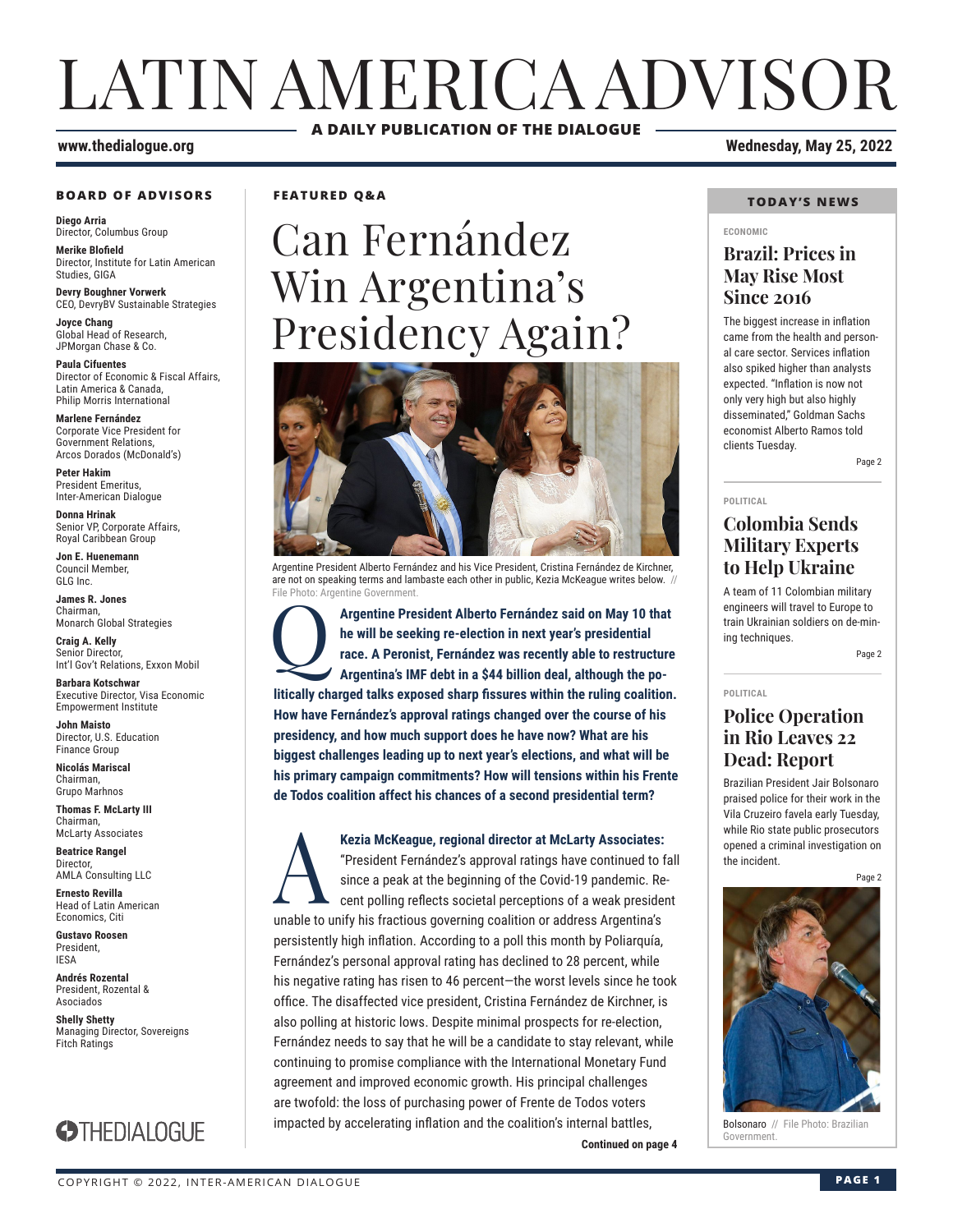# LATIN AMERICA ADVISOR **A DAILY PUBLICATION OF THE DIALOGUE**

#### **www.thedialogue.org Wednesday, May 25, 2022**

#### **BOARD OF ADVISORS**

**Diego Arria** Director, Columbus Group

**Merike Blofield** Director, Institute for Latin American Studies, GIGA

**Devry Boughner Vorwerk** CEO, DevryBV Sustainable Strategies

**Joyce Chang** Global Head of Research, JPMorgan Chase & Co.

**Paula Cifuentes** Director of Economic & Fiscal Affairs, Latin America & Canada, Philip Morris International

**Marlene Fernández** Corporate Vice President for Government Relations, Arcos Dorados (McDonald's)

**Peter Hakim** President Emeritus, Inter-American Dialogue

**Donna Hrinak** Senior VP, Corporate Affairs, Royal Caribbean Group

**Jon E. Huenemann** Council Member, GLG Inc.

**James R. Jones** Chairman, Monarch Global Strategies

**Craig A. Kelly** Senior Director, Int'l Gov't Relations, Exxon Mobil

**Barbara Kotschwar** Executive Director, Visa Economic Empowerment Institute

**John Maisto** Director, U.S. Education Finance Group

**Nicolás Mariscal** Chairman, Grupo Marhnos

**Thomas F. McLarty III** Chairman, McLarty Associates

**Beatrice Rangel**  Director, AMLA Consulting LLC

**Ernesto Revilla**  Head of Latin American

Economics, Citi **Gustavo Roosen** President, IESA

**Andrés Rozental**  President, Rozental & Asociados

**Shelly Shetty** Managing Director, Sovereigns Fitch Ratings



**FEATURED Q&A**

# Can Fernández Win Argentina's Presidency Again?



Argentine President Alberto Fernández and his Vice President, Cristina Fernández de Kirchner, are not on speaking terms and lambaste each other in public, Kezia McKeague writes below. // File Photo: Argentine Government.

Argentine President Alberto Fernández said on May 10 that<br>
he will be seeking re-election in next year's presidential<br>
race. A Peronist, Fernández was recently able to restructure<br>
Argentina's IMF debt in a \$44 billion dea **he will be seeking re-election in next year's presidential race. A Peronist, Fernández was recently able to restructure Argentina's IMF debt in a \$44 billion deal, although the politically charged talks exposed sharp fissures within the ruling coalition. How have Fernández's approval ratings changed over the course of his presidency, and how much support does he have now? What are his biggest challenges leading up to next year's elections, and what will be his primary campaign commitments? How will tensions within his Frente de Todos coalition affect his chances of a second presidential term?**

**Continued on page 4 Continued on page 4 Kezia McKeague, regional director at McLarty Associates:**<br>
"President Fernández's approval ratings have continued to increase a peak at the beginning of the Covid-19 pandemic. Recent polling reflects societal perceptions "President Fernández's approval ratings have continued to fall since a peak at the beginning of the Covid-19 pandemic. Recent polling reflects societal perceptions of a weak president unable to unify his fractious governing coalition or address Argentina's persistently high inflation. According to a poll this month by Poliarquía, Fernández's personal approval rating has declined to 28 percent, while his negative rating has risen to 46 percent—the worst levels since he took office. The disaffected vice president, Cristina Fernández de Kirchner, is also polling at historic lows. Despite minimal prospects for re-election, Fernández needs to say that he will be a candidate to stay relevant, while continuing to promise compliance with the International Monetary Fund agreement and improved economic growth. His principal challenges are twofold: the loss of purchasing power of Frente de Todos voters impacted by accelerating inflation and the coalition's internal battles,

#### **TODAY'S NEWS**

#### **ECONOMIC**

#### **Brazil: Prices in May Rise Most Since 2016**

The biggest increase in inflation came from the health and personal care sector. Services inflation also spiked higher than analysts expected. "Inflation is now not only very high but also highly disseminated," Goldman Sachs economist Alberto Ramos told clients Tuesday.

Page 2

#### **POLITICAL Colombia Sends Military Experts to Help Ukraine**

A team of 11 Colombian military engineers will travel to Europe to train Ukrainian soldiers on de-mining techniques.

Page 2

#### **POLITICAL**

#### **Police Operation in Rio Leaves 22 Dead: Report**

Brazilian President Jair Bolsonaro praised police for their work in the Vila Cruzeiro favela early Tuesday, while Rio state public prosecutors opened a criminal investigation on the incident.

Page 2



Bolsonaro // File Photo: Brazilian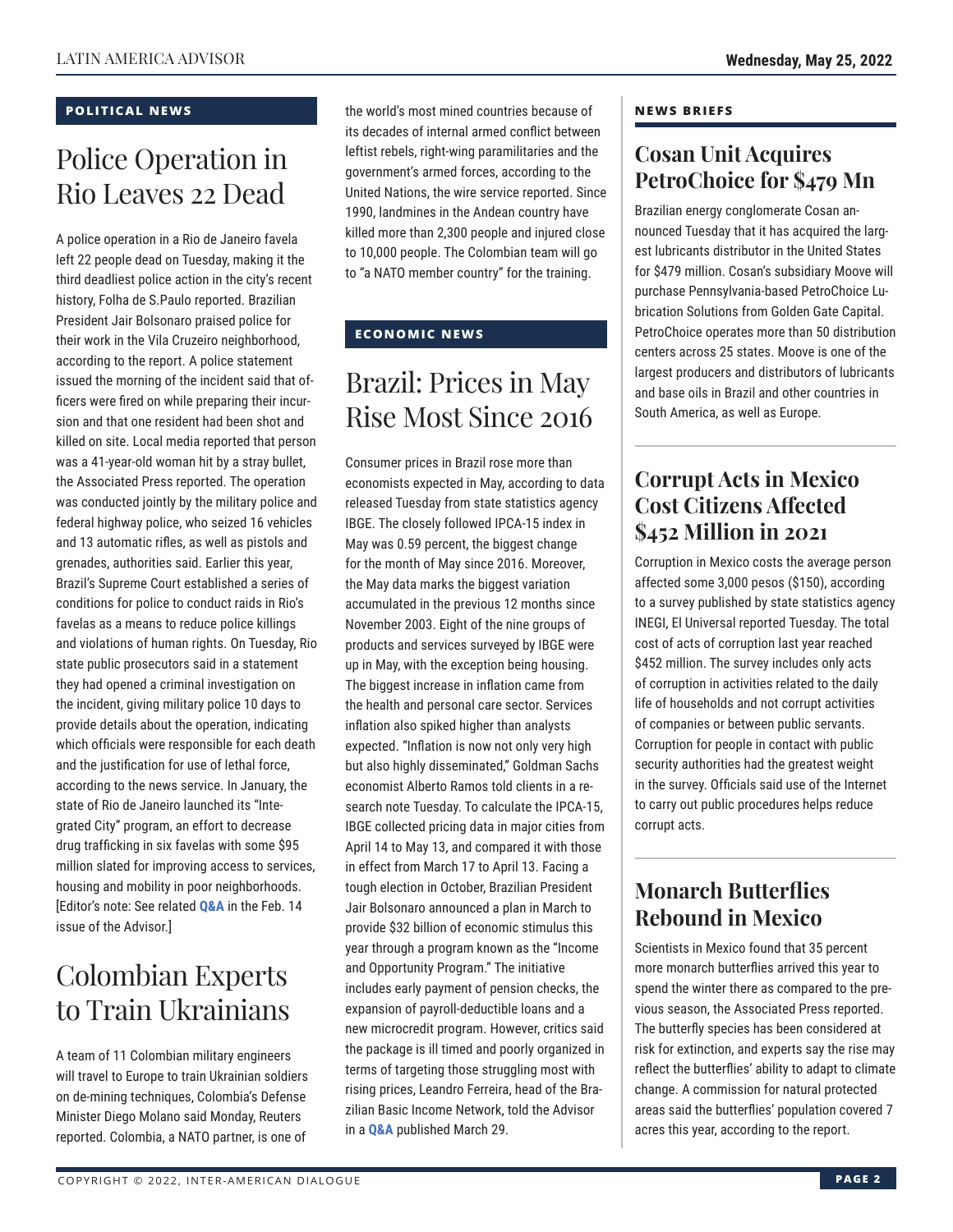#### **POLITICAL NEWS**

# Police Operation in Rio Leaves 22 Dead

A police operation in a Rio de Janeiro favela left 22 people dead on Tuesday, making it the third deadliest police action in the city's recent history, Folha de S.Paulo reported. Brazilian President Jair Bolsonaro praised police for their work in the Vila Cruzeiro neighborhood, according to the report. A police statement issued the morning of the incident said that officers were fired on while preparing their incursion and that one resident had been shot and killed on site. Local media reported that person was a 41-year-old woman hit by a stray bullet, the Associated Press reported. The operation was conducted jointly by the military police and federal highway police, who seized 16 vehicles and 13 automatic rifles, as well as pistols and grenades, authorities said. Earlier this year, Brazil's Supreme Court established a series of conditions for police to conduct raids in Rio's favelas as a means to reduce police killings and violations of human rights. On Tuesday, Rio state public prosecutors said in a statement they had opened a criminal investigation on the incident, giving military police 10 days to provide details about the operation, indicating which officials were responsible for each death and the justification for use of lethal force. according to the news service. In January, the state of Rio de Janeiro launched its "Integrated City" program, an effort to decrease drug trafficking in six favelas with some \$95 million slated for improving access to services, housing and mobility in poor neighborhoods. [Editor's note: See related **[Q&A](https://www.thedialogue.org/wp-content/uploads/2022/02/LAA220214.pdf)** in the Feb. 14 issue of the Advisor.]

# Colombian Experts to Train Ukrainians

A team of 11 Colombian military engineers will travel to Europe to train Ukrainian soldiers on de-mining techniques, Colombia's Defense Minister Diego Molano said Monday, Reuters reported. Colombia, a NATO partner, is one of

the world's most mined countries because of its decades of internal armed conflict between leftist rebels, right-wing paramilitaries and the government's armed forces, according to the United Nations, the wire service reported. Since 1990, landmines in the Andean country have killed more than 2,300 people and injured close to 10,000 people. The Colombian team will go to "a NATO member country" for the training.

#### **ECONOMIC NEWS**

# Brazil: Prices in May Rise Most Since 2016

Consumer prices in Brazil rose more than economists expected in May, according to data released Tuesday from state statistics agency IBGE. The closely followed IPCA-15 index in May was 0.59 percent, the biggest change for the month of May since 2016. Moreover, the May data marks the biggest variation accumulated in the previous 12 months since November 2003. Eight of the nine groups of products and services surveyed by IBGE were up in May, with the exception being housing. The biggest increase in inflation came from the health and personal care sector. Services inflation also spiked higher than analysts expected. "Inflation is now not only very high but also highly disseminated," Goldman Sachs economist Alberto Ramos told clients in a research note Tuesday. To calculate the IPCA-15, IBGE collected pricing data in major cities from April 14 to May 13, and compared it with those in effect from March 17 to April 13. Facing a tough election in October, Brazilian President Jair Bolsonaro announced a plan in March to provide \$32 billion of economic stimulus this year through a program known as the "Income and Opportunity Program." The initiative includes early payment of pension checks, the expansion of payroll-deductible loans and a new microcredit program. However, critics said the package is ill timed and poorly organized in terms of targeting those struggling most with rising prices, Leandro Ferreira, head of the Brazilian Basic Income Network, told the Advisor in a **[Q&A](https://www.thedialogue.org/wp-content/uploads/2022/03/LAA220329.pdf)** published March 29.

#### **NEWS BRIEFS**

### **Cosan Unit Acquires PetroChoice for \$479 Mn**

Brazilian energy conglomerate Cosan announced Tuesday that it has acquired the largest lubricants distributor in the United States for \$479 million. Cosan's subsidiary Moove will purchase Pennsylvania-based PetroChoice Lubrication Solutions from Golden Gate Capital. PetroChoice operates more than 50 distribution centers across 25 states. Moove is one of the largest producers and distributors of lubricants and base oils in Brazil and other countries in South America, as well as Europe.

### **Corrupt Acts in Mexico Cost Citizens Affected \$452 Million in 2021**

Corruption in Mexico costs the average person affected some 3,000 pesos (\$150), according to a survey published by state statistics agency INEGI, El Universal reported Tuesday. The total cost of acts of corruption last year reached \$452 million. The survey includes only acts of corruption in activities related to the daily life of households and not corrupt activities of companies or between public servants. Corruption for people in contact with public security authorities had the greatest weight in the survey. Officials said use of the Internet to carry out public procedures helps reduce corrupt acts.

### **Monarch Butterflies Rebound in Mexico**

Scientists in Mexico found that 35 percent more monarch butterflies arrived this year to spend the winter there as compared to the previous season, the Associated Press reported. The butterfly species has been considered at risk for extinction, and experts say the rise may reflect the butterflies' ability to adapt to climate change. A commission for natural protected areas said the butterflies' population covered 7 acres this year, according to the report.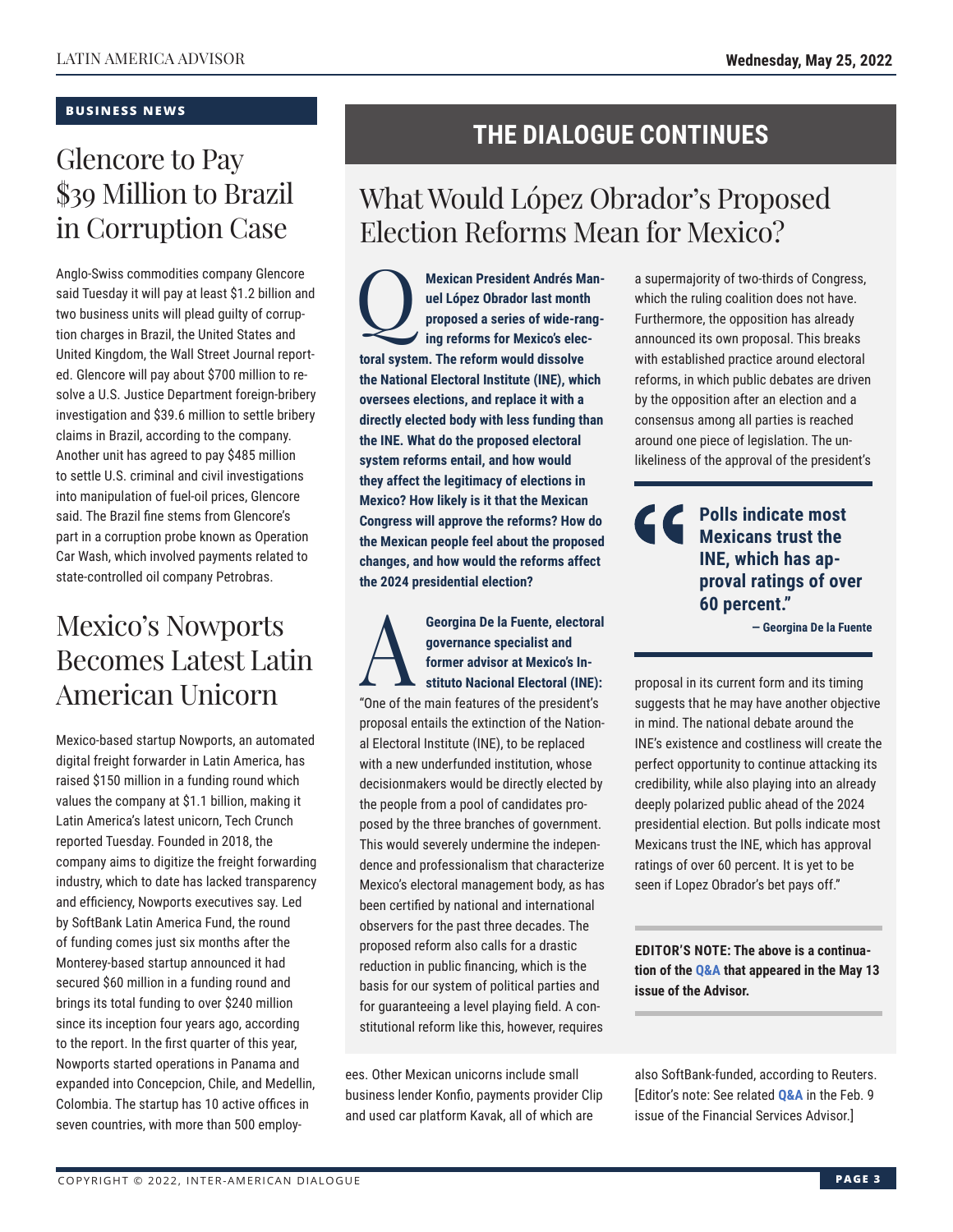#### **BUSINESS NEWS**

## Glencore to Pay \$39 Million to Brazil in Corruption Case

Anglo-Swiss commodities company Glencore said Tuesday it will pay at least \$1.2 billion and two business units will plead guilty of corruption charges in Brazil, the United States and United Kingdom, the Wall Street Journal reported. Glencore will pay about \$700 million to resolve a U.S. Justice Department foreign-bribery investigation and \$39.6 million to settle bribery claims in Brazil, according to the company. Another unit has agreed to pay \$485 million to settle U.S. criminal and civil investigations into manipulation of fuel-oil prices, Glencore said. The Brazil fine stems from Glencore's part in a corruption probe known as Operation Car Wash, which involved payments related to state-controlled oil company Petrobras.

### Mexico's Nowports Becomes Latest Latin American Unicorn

Mexico-based startup Nowports, an automated digital freight forwarder in Latin America, has raised \$150 million in a funding round which values the company at \$1.1 billion, making it Latin America's latest unicorn, Tech Crunch reported Tuesday. Founded in 2018, the company aims to digitize the freight forwarding industry, which to date has lacked transparency and efficiency, Nowports executives say. Led by SoftBank Latin America Fund, the round of funding comes just six months after the Monterey-based startup announced it had secured \$60 million in a funding round and brings its total funding to over \$240 million since its inception four years ago, according to the report. In the first quarter of this year, Nowports started operations in Panama and expanded into Concepcion, Chile, and Medellin, Colombia. The startup has 10 active offices in seven countries, with more than 500 employ-

### **THE DIALOGUE CONTINUES**

# What Would López Obrador's Proposed Election Reforms Mean for Mexico?

Mexican President Andrés Man-<br>
uel López Obrador last month<br>
proposed a series of wide-rang-<br>
ing reforms for Mexico's elec**uel López Obrador last month proposed a series of wide-ranging reforms for Mexico's electoral system. The reform would dissolve the National Electoral Institute (INE), which oversees elections, and replace it with a directly elected body with less funding than the INE. What do the proposed electoral system reforms entail, and how would they affect the legitimacy of elections in Mexico? How likely is it that the Mexican Congress will approve the reforms? How do the Mexican people feel about the proposed changes, and how would the reforms affect the 2024 presidential election?**

Georgina De la Fuente, electoral<br>
governance specialist and<br>
former advisor at Mexico's In-<br>
stituto Nacional Electoral (INE):<br>
"One of the majn fortune of the magistratic **governance specialist and former advisor at Mexico's In-**

"One of the main features of the president's proposal entails the extinction of the National Electoral Institute (INE), to be replaced with a new underfunded institution, whose decisionmakers would be directly elected by the people from a pool of candidates proposed by the three branches of government. This would severely undermine the independence and professionalism that characterize Mexico's electoral management body, as has been certified by national and international observers for the past three decades. The proposed reform also calls for a drastic reduction in public financing, which is the basis for our system of political parties and for guaranteeing a level playing field. A constitutional reform like this, however, requires

ees. Other Mexican unicorns include small business lender Konfio, payments provider Clip and used car platform Kavak, all of which are

a supermajority of two-thirds of Congress, which the ruling coalition does not have. Furthermore, the opposition has already announced its own proposal. This breaks with established practice around electoral reforms, in which public debates are driven by the opposition after an election and a consensus among all parties is reached around one piece of legislation. The unlikeliness of the approval of the president's

**Polls indicate most Mexicans trust the INE, which has approval ratings of over 60 percent."**

**— Georgina De la Fuente** 

proposal in its current form and its timing suggests that he may have another objective in mind. The national debate around the INE's existence and costliness will create the perfect opportunity to continue attacking its credibility, while also playing into an already deeply polarized public ahead of the 2024 presidential election. But polls indicate most Mexicans trust the INE, which has approval ratings of over 60 percent. It is yet to be seen if Lopez Obrador's bet pays off."

**EDITOR'S NOTE: The above is a continuation of th[e Q&A th](https://www.thedialogue.org/wp-content/uploads/2022/05/LAA220513.pdf)at appeared in the May 13 issue of the Advisor.**

also SoftBank-funded, according to Reuters. [Editor's note: See related **[Q&A](https://www.thedialogue.org/wp-content/uploads/2022/02/FSA220209.pdf)** in the Feb. 9 issue of the Financial Services Advisor.]